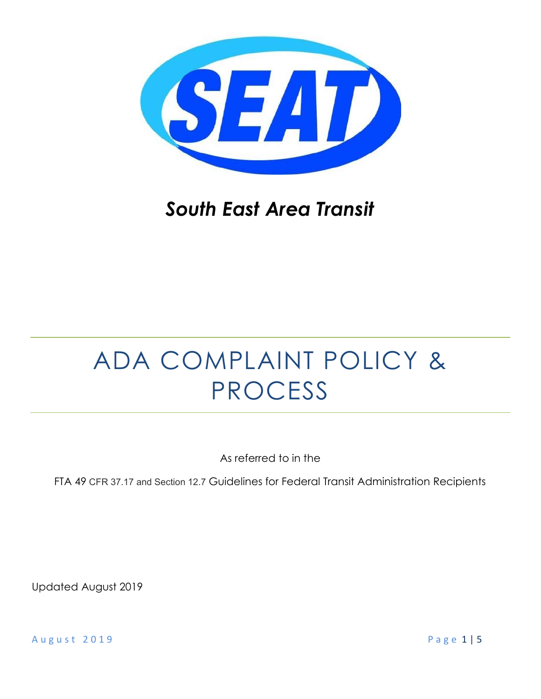

## South East Area Transit

# ADA COMPLAINT POLICY & PROCESS

As referred to in the

FTA 49 CFR 37.17 and Section 12.7 Guidelines for Federal Transit Administration Recipients

Updated August 2019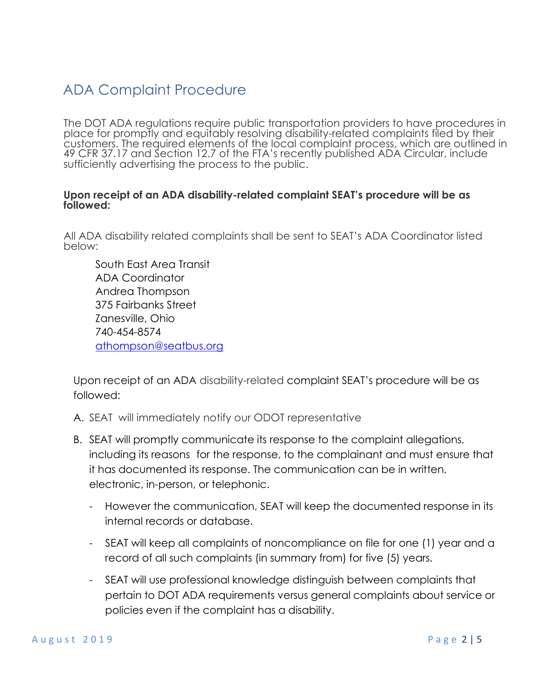## ADA Complaint Procedure

The DOT ADA regulations require public transportation providers to have procedures in place for promptly and equitably resolving disability-related complaints filed by their customers. The required elements of the local complaint process, which are outlined in 49 CFR 37.17 and Section 12.7 of the FTA's recently published ADA Circular, include sufficiently advertising the process to the public.

#### Upon receipt of an ADA disability-related complaint SEAT's procedure will be as followed:

All ADA disability related complaints shall be sent to SEAT's ADA Coordinator listed below:

 South East Area Transit ADA Coordinator Andrea Thompson 375 Fairbanks Street Zanesville, Ohio 740-454-8574 athompson@seatbus.org

Upon receipt of an ADA disability-related complaint SEAT's procedure will be as followed:

- A. SEAT will immediately notify our ODOT representative
- B. SEAT will promptly communicate its response to the complaint allegations, including its reasons for the response, to the complainant and must ensure that it has documented its response. The communication can be in written, electronic, in-person, or telephonic.
	- However the communication, SEAT will keep the documented response in its internal records or database.
	- SEAT will keep all complaints of noncompliance on file for one (1) year and a record of all such complaints (in summary from) for five (5) years.
	- SEAT will use professional knowledge distinguish between complaints that pertain to DOT ADA requirements versus general complaints about service or policies even if the complaint has a disability.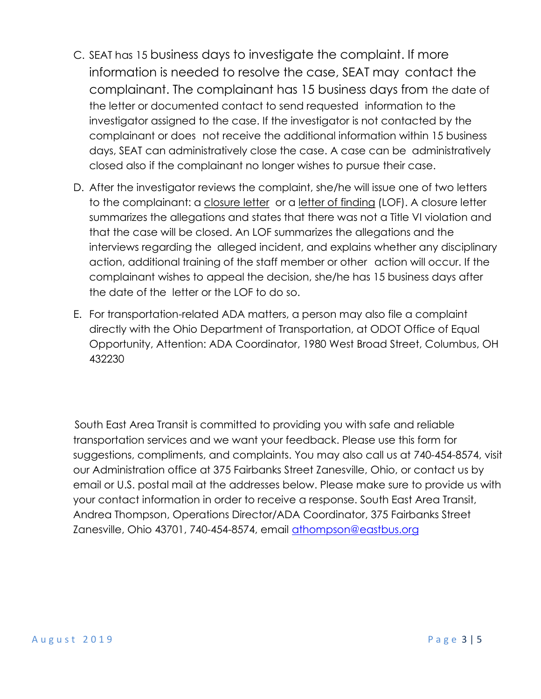- C. SEAT has 15 business days to investigate the complaint. If more information is needed to resolve the case, SEAT may contact the complainant. The complainant has 15 business days from the date of the letter or documented contact to send requested information to the investigator assigned to the case. If the investigator is not contacted by the complainant or does not receive the additional information within 15 business days, SEAT can administratively close the case. A case can be administratively closed also if the complainant no longer wishes to pursue their case.
- D. After the investigator reviews the complaint, she/he will issue one of two letters to the complainant: a closure letter or a letter of finding (LOF). A closure letter summarizes the allegations and states that there was not a Title VI violation and that the case will be closed. An LOF summarizes the allegations and the interviews regarding the alleged incident, and explains whether any disciplinary action, additional training of the staff member or other action will occur. If the complainant wishes to appeal the decision, she/he has 15 business days after the date of the letter or the LOF to do so.
- E. For transportation-related ADA matters, a person may also file a complaint directly with the Ohio Department of Transportation, at ODOT Office of Equal Opportunity, Attention: ADA Coordinator, 1980 West Broad Street, Columbus, OH 432230

 South East Area Transit is committed to providing you with safe and reliable transportation services and we want your feedback. Please use this form for suggestions, compliments, and complaints. You may also call us at 740-454-8574, visit our Administration office at 375 Fairbanks Street Zanesville, Ohio, or contact us by email or U.S. postal mail at the addresses below. Please make sure to provide us with your contact information in order to receive a response. South East Area Transit, Andrea Thompson, Operations Director/ADA Coordinator, 375 Fairbanks Street Zanesville, Ohio 43701, 740-454-8574, email athompson@eastbus.org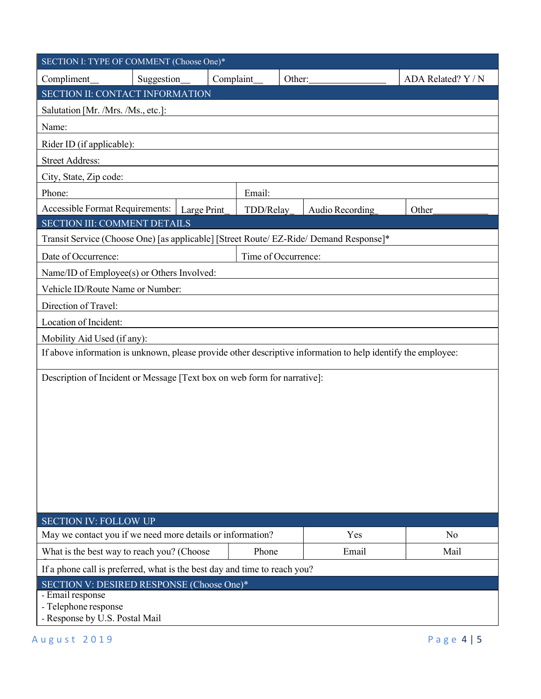| SECTION I: TYPE OF COMMENT (Choose One)*                                                                     |            |             |           |                 |                    |  |  |  |
|--------------------------------------------------------------------------------------------------------------|------------|-------------|-----------|-----------------|--------------------|--|--|--|
| Compliment_                                                                                                  | Suggestion | Complaint   |           | Other:          | ADA Related? Y / N |  |  |  |
| <b>SECTION II: CONTACT INFORMATION</b>                                                                       |            |             |           |                 |                    |  |  |  |
| Salutation [Mr. /Mrs. /Ms., etc.]:                                                                           |            |             |           |                 |                    |  |  |  |
| Name:                                                                                                        |            |             |           |                 |                    |  |  |  |
| Rider ID (if applicable):                                                                                    |            |             |           |                 |                    |  |  |  |
| <b>Street Address:</b>                                                                                       |            |             |           |                 |                    |  |  |  |
| City, State, Zip code:                                                                                       |            |             |           |                 |                    |  |  |  |
| Phone:                                                                                                       |            |             | Email:    |                 |                    |  |  |  |
| Accessible Format Requirements:                                                                              |            | Large Print | TDD/Relay | Audio Recording | Other              |  |  |  |
| SECTION III: COMMENT DETAILS                                                                                 |            |             |           |                 |                    |  |  |  |
| Transit Service (Choose One) [as applicable] [Street Route/ EZ-Ride/ Demand Response]*                       |            |             |           |                 |                    |  |  |  |
| Time of Occurrence:<br>Date of Occurrence:                                                                   |            |             |           |                 |                    |  |  |  |
| Name/ID of Employee(s) or Others Involved:                                                                   |            |             |           |                 |                    |  |  |  |
| Vehicle ID/Route Name or Number:                                                                             |            |             |           |                 |                    |  |  |  |
| Direction of Travel:                                                                                         |            |             |           |                 |                    |  |  |  |
| Location of Incident:                                                                                        |            |             |           |                 |                    |  |  |  |
| Mobility Aid Used (if any):                                                                                  |            |             |           |                 |                    |  |  |  |
| If above information is unknown, please provide other descriptive information to help identify the employee: |            |             |           |                 |                    |  |  |  |
|                                                                                                              |            |             |           |                 |                    |  |  |  |
| Description of Incident or Message [Text box on web form for narrative]:                                     |            |             |           |                 |                    |  |  |  |
|                                                                                                              |            |             |           |                 |                    |  |  |  |
|                                                                                                              |            |             |           |                 |                    |  |  |  |
|                                                                                                              |            |             |           |                 |                    |  |  |  |
|                                                                                                              |            |             |           |                 |                    |  |  |  |
|                                                                                                              |            |             |           |                 |                    |  |  |  |
|                                                                                                              |            |             |           |                 |                    |  |  |  |
|                                                                                                              |            |             |           |                 |                    |  |  |  |
|                                                                                                              |            |             |           |                 |                    |  |  |  |
| <b>SECTION IV: FOLLOW UP</b><br>May we contact you if we need more details or information?<br>Yes<br>No      |            |             |           |                 |                    |  |  |  |
| What is the best way to reach you? (Choose<br>Phone                                                          |            |             | Email     | Mail            |                    |  |  |  |
|                                                                                                              |            |             |           |                 |                    |  |  |  |
| If a phone call is preferred, what is the best day and time to reach you?                                    |            |             |           |                 |                    |  |  |  |
| SECTION V: DESIRED RESPONSE (Choose One)*<br>- Email response                                                |            |             |           |                 |                    |  |  |  |
| - Telephone response                                                                                         |            |             |           |                 |                    |  |  |  |
| - Response by U.S. Postal Mail                                                                               |            |             |           |                 |                    |  |  |  |
| August 2019                                                                                                  |            |             |           |                 | Page 4   5         |  |  |  |